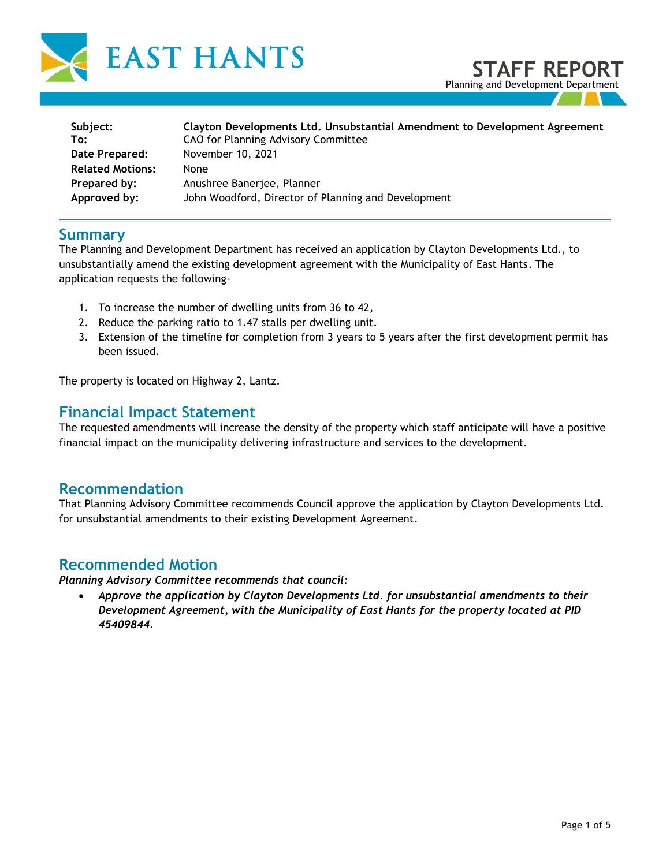

| Subject:                | Clayton Developments Ltd. Unsubstantial Amendment to Development Agreement |
|-------------------------|----------------------------------------------------------------------------|
| To:                     | CAO for Planning Advisory Committee                                        |
| Date Prepared:          | November 10, 2021                                                          |
| <b>Related Motions:</b> | None                                                                       |
| Prepared by:            | Anushree Banerjee, Planner                                                 |
| Approved by:            | John Woodford, Director of Planning and Development                        |

#### **Summary**

The Planning and Development Department has received an application by Clayton Developments Ltd., to unsubstantially amend the existing development agreement with the Municipality of East Hants. The application requests the following-

- 1. To increase the number of dwelling units from 36 to 42,
- 2. Reduce the parking ratio to 1.47 stalls per dwelling unit.
- 3. Extension of the timeline for completion from 3 years to 5 years after the first development permit has been issued.

The property is located on Highway 2, Lantz.

#### **Financial Impact Statement**

The requested amendments will increase the density of the property which staff anticipate will have a positive financial impact on the municipality delivering infrastructure and services to the development.

#### **Recommendation**

That Planning Advisory Committee recommends Council approve the application by Clayton Developments Ltd. for unsubstantial amendments to their existing Development Agreement.

#### **Recommended Motion**

*Planning Advisory Committee recommends that council:*

• *Approve the application by Clayton Developments Ltd. for unsubstantial amendments to their Development Agreement, with the Municipality of East Hants for the property located at PID 45409844.*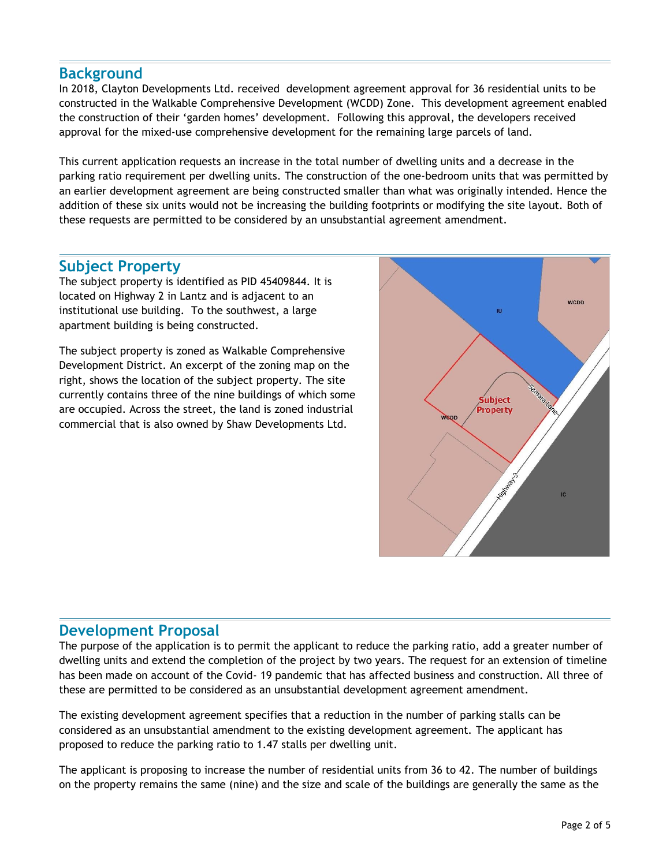## **Background**

In 2018, Clayton Developments Ltd. received development agreement approval for 36 residential units to be constructed in the Walkable Comprehensive Development (WCDD) Zone. This development agreement enabled the construction of their 'garden homes' development. Following this approval, the developers received approval for the mixed-use comprehensive development for the remaining large parcels of land.

This current application requests an increase in the total number of dwelling units and a decrease in the parking ratio requirement per dwelling units. The construction of the one-bedroom units that was permitted by an earlier development agreement are being constructed smaller than what was originally intended. Hence the addition of these six units would not be increasing the building footprints or modifying the site layout. Both of these requests are permitted to be considered by an unsubstantial agreement amendment.

## **Subject Property**

The subject property is identified as PID 45409844. It is located on Highway 2 in Lantz and is adjacent to an institutional use building. To the southwest, a large apartment building is being constructed.

The subject property is zoned as Walkable Comprehensive Development District. An excerpt of the zoning map on the right, shows the location of the subject property. The site currently contains three of the nine buildings of which some are occupied. Across the street, the land is zoned industrial commercial that is also owned by Shaw Developments Ltd.



#### **Development Proposal**

The purpose of the application is to permit the applicant to reduce the parking ratio, add a greater number of dwelling units and extend the completion of the project by two years. The request for an extension of timeline has been made on account of the Covid- 19 pandemic that has affected business and construction. All three of these are permitted to be considered as an unsubstantial development agreement amendment.

The existing development agreement specifies that a reduction in the number of parking stalls can be considered as an unsubstantial amendment to the existing development agreement. The applicant has proposed to reduce the parking ratio to 1.47 stalls per dwelling unit.

The applicant is proposing to increase the number of residential units from 36 to 42. The number of buildings on the property remains the same (nine) and the size and scale of the buildings are generally the same as the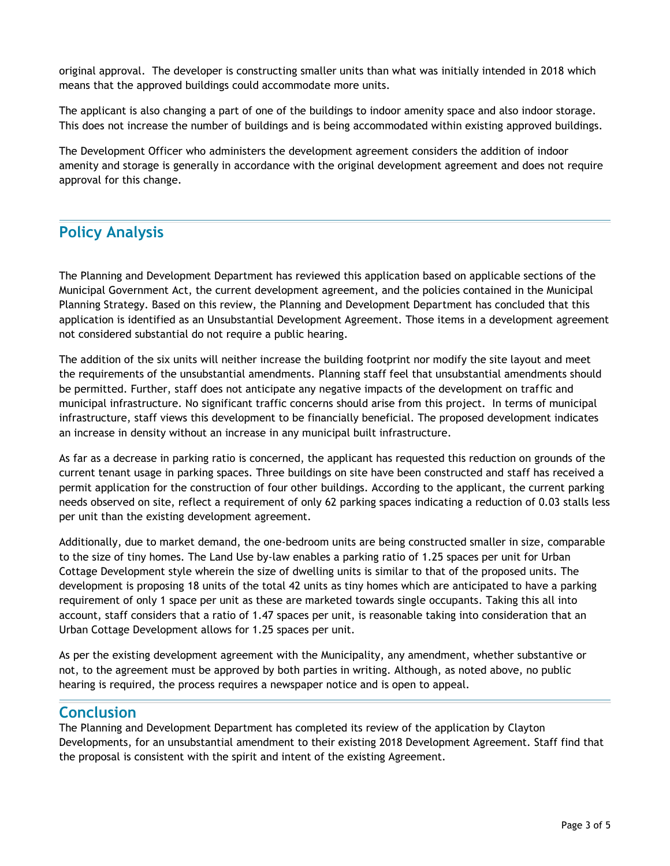original approval. The developer is constructing smaller units than what was initially intended in 2018 which means that the approved buildings could accommodate more units.

The applicant is also changing a part of one of the buildings to indoor amenity space and also indoor storage. This does not increase the number of buildings and is being accommodated within existing approved buildings.

The Development Officer who administers the development agreement considers the addition of indoor amenity and storage is generally in accordance with the original development agreement and does not require approval for this change.

# **Policy Analysis**

The Planning and Development Department has reviewed this application based on applicable sections of the Municipal Government Act, the current development agreement, and the policies contained in the Municipal Planning Strategy. Based on this review, the Planning and Development Department has concluded that this application is identified as an Unsubstantial Development Agreement. Those items in a development agreement not considered substantial do not require a public hearing.

The addition of the six units will neither increase the building footprint nor modify the site layout and meet the requirements of the unsubstantial amendments. Planning staff feel that unsubstantial amendments should be permitted. Further, staff does not anticipate any negative impacts of the development on traffic and municipal infrastructure. No significant traffic concerns should arise from this project. In terms of municipal infrastructure, staff views this development to be financially beneficial. The proposed development indicates an increase in density without an increase in any municipal built infrastructure.

As far as a decrease in parking ratio is concerned, the applicant has requested this reduction on grounds of the current tenant usage in parking spaces. Three buildings on site have been constructed and staff has received a permit application for the construction of four other buildings. According to the applicant, the current parking needs observed on site, reflect a requirement of only 62 parking spaces indicating a reduction of 0.03 stalls less per unit than the existing development agreement.

Additionally, due to market demand, the one-bedroom units are being constructed smaller in size, comparable to the size of tiny homes. The Land Use by-law enables a parking ratio of 1.25 spaces per unit for Urban Cottage Development style wherein the size of dwelling units is similar to that of the proposed units. The development is proposing 18 units of the total 42 units as tiny homes which are anticipated to have a parking requirement of only 1 space per unit as these are marketed towards single occupants. Taking this all into account, staff considers that a ratio of 1.47 spaces per unit, is reasonable taking into consideration that an Urban Cottage Development allows for 1.25 spaces per unit.

As per the existing development agreement with the Municipality, any amendment, whether substantive or not, to the agreement must be approved by both parties in writing. Although, as noted above, no public hearing is required, the process requires a newspaper notice and is open to appeal.

# **Conclusion**

The Planning and Development Department has completed its review of the application by Clayton Developments, for an unsubstantial amendment to their existing 2018 Development Agreement. Staff find that the proposal is consistent with the spirit and intent of the existing Agreement.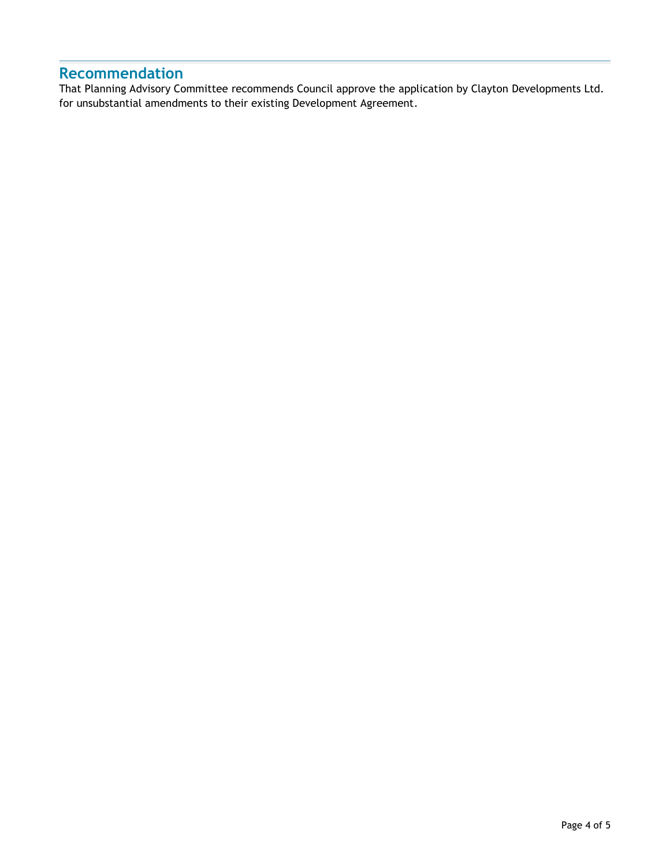# **Recommendation**

That Planning Advisory Committee recommends Council approve the application by Clayton Developments Ltd. for unsubstantial amendments to their existing Development Agreement.